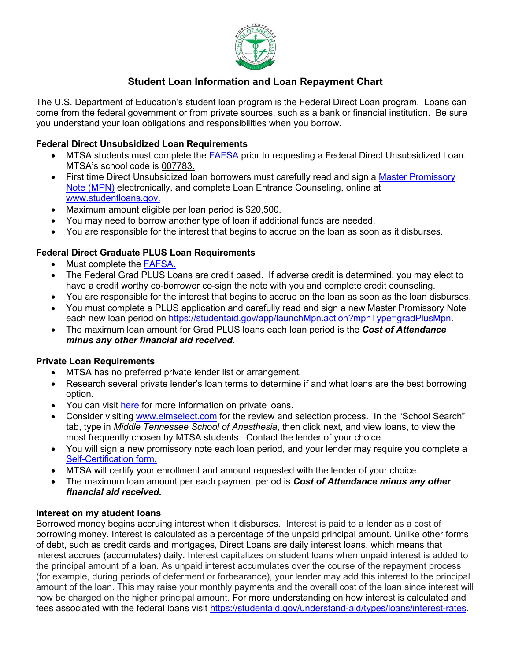

# **Student Loan Information and Loan Repayment Chart**

The U.S. Department of Education's student loan program is the Federal Direct Loan program. Loans can come from the federal government or from private sources, such as a bank or financial institution. Be sure you understand your loan obligations and responsibilities when you borrow.

## **Federal Direct Unsubsidized Loan Requirements**

- MTSA students must complete the [FAFSA](http://www.fafsa.gov/) prior to requesting a Federal Direct Unsubsidized Loan. MTSA's school code is 007783.
- First time Direct Unsubsidized loan borrowers must carefully read and sign a Master Promissory [Note \(MPN\)](https://studentaid.gov/mpn/grad/landing) electronically, and complete Loan Entrance Counseling, online at [www.studentloans.gov.](https://studentaid.gov/app/counselingInstructions.action?counselingType=entrance)
- Maximum amount eligible per loan period is \$20,500.
- You may need to borrow another type of loan if additional funds are needed.
- You are responsible for the interest that begins to accrue on the loan as soon as it disburses.

## **Federal Direct Graduate PLUS Loan Requirements**

- Must complete the [FAFSA.](http://www.fafsa.gov/)
- The Federal Grad PLUS Loans are credit based. If adverse credit is determined, you may elect to have a credit worthy co-borrower co-sign the note with you and complete credit counseling.
- You are responsible for the interest that begins to accrue on the loan as soon as the loan disburses.
- You must complete a PLUS application and carefully read and sign a new Master Promissory Note each new loan period on [https://studentaid.gov/app/launchMpn.action?mpnType=gradPlusMpn.](https://studentaid.gov/app/launchMpn.action?mpnType=gradPlusMpn)
- The maximum loan amount for Grad PLUS loans each loan period is the *Cost of Attendance minus any other financial aid received***.**

## **Private Loan Requirements**

- MTSA has no preferred private lender list or arrangement.
- Research several private lender's loan terms to determine if and what loans are the best borrowing option.
- You can visit [here](http://www.finaid.org/loans/privatestudentloans.phtml) for more information on private loans.
- Consider visiting [www.elmselect.com](http://www.elmselect.com/) for the review and selection process. In the "School Search" tab, type in *Middle Tennessee School of Anesthesia*, then click next, and view loans, to view the most frequently chosen by MTSA students. Contact the lender of your choice.
- You will sign a new promissory note each loan period, and your lender may require you complete a [Self-Certification form.](https://mtsa.edu/wp-content/uploads/2020/02/1.13.20-Self-Certification-Form-for-Private-loans.pdf)
- MTSA will certify your enrollment and amount requested with the lender of your choice.
- The maximum loan amount per each payment period is *Cost of Attendance minus any other financial aid received.*

## **Interest on my student loans**

Borrowed money begins accruing interest when it disburses. Interest is paid to a lender as a cost of borrowing money. Interest is calculated as a percentage of the unpaid principal amount. Unlike other forms of debt, such as credit cards and mortgages, Direct Loans are daily interest loans, which means that interest accrues (accumulates) daily. Interest capitalizes on student loans when unpaid interest is added to the principal amount of a loan. As unpaid interest accumulates over the course of the repayment process (for example, during periods of deferment or forbearance), your lender may add this interest to the principal amount of the loan. This may raise your monthly payments and the overall cost of the loan since interest will now be charged on the higher principal amount. For more understanding on how interest is calculated and fees associated with the federal loans visit [https://studentaid.gov/understand-aid/types/loans/interest-rates.](https://studentaid.gov/understand-aid/types/loans/interest-rates)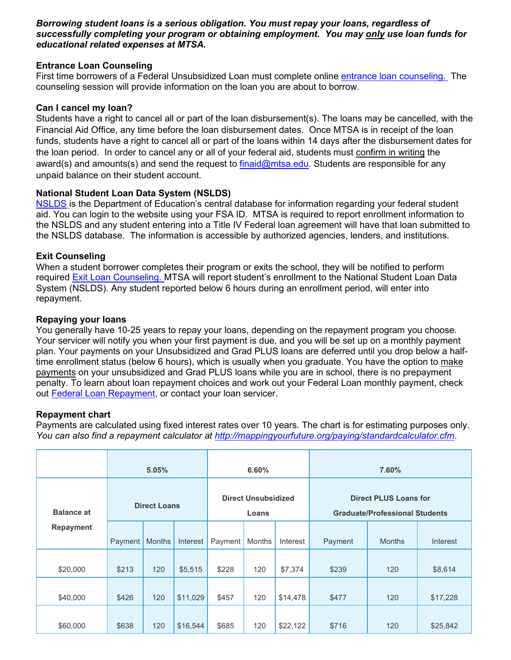#### *Borrowing student loans is a serious obligation. You must repay your loans, regardless of successfully completing your program or obtaining employment. You may only use loan funds for educational related expenses at MTSA.*

#### **Entrance Loan Counseling**

First time borrowers of a Federal Unsubsidized Loan must complete online [entrance loan counseling.](https://studentaid.gov/app/counselingInstructions.action?counselingType=entrance) The counseling session will provide information on the loan you are about to borrow.

#### **Can I cancel my loan?**

Students have a right to cancel all or part of the loan disbursement(s). The loans may be cancelled, with the Financial Aid Office, any time before the loan disbursement dates. Once MTSA is in receipt of the loan funds, students have a right to cancel all or part of the loans within 14 days after the disbursement dates for the loan period. In order to cancel any or all of your federal aid, students must confirm in writing the award(s) and amounts(s) and send the request to [finaid@mtsa.edu.](mailto:finaid@mtsa.edu) Students are responsible for any unpaid balance on their student account.

## **National Student Loan Data System (NSLDS)**

[NSLDS](https://studentaid.gov/asla/acknowledgement) is the Department of Education's central database for information regarding your federal student aid. You can login to the website using your FSA ID. MTSA is required to report enrollment information to the NSLDS and any student entering into a Title IV Federal loan agreement will have that loan submitted to the NSLDS database. The information is accessible by authorized agencies, lenders, and institutions.

#### **Exit Counseling**

When a student borrower completes their program or exits the school, they will be notified to perform required [Exit Loan Counseling.](https://studentaid.gov/app/counselingInstructions.action?counselingType=exit) MTSA will report student's enrollment to the National Student Loan Data System (NSLDS). Any student reported below 6 hours during an enrollment period, will enter into repayment.

#### **Repaying your loans**

You generally have 10-25 years to repay your loans, depending on the repayment program you choose. Your servicer will notify you when your first payment is due, and you will be set up on a monthly payment plan. Your payments on your Unsubsidized and Grad PLUS loans are deferred until you drop below a halftime enrollment status (below 6 hours), which is usually when you graduate. You have the option to make payments on your unsubsidized and Grad PLUS loans while you are in school, there is no prepayment penalty. To learn about loan repayment choices and work out your Federal Loan monthly payment, check out [Federal Loan Repayment,](https://studentaid.gov/help-center/answers/article/which-federal-student-loan-repayment-plans-am-i-eligible-for-and-can-i-estimate-payments) or contact your loan servicer.

#### **Repayment chart**

Payments are calculated using fixed interest rates over 10 years. The chart is for estimating purposes only. *You can also find a repayment calculator at<http://mappingyourfuture.org/paying/standardcalculator.cfm>*.

|                   | 5.05%               |               |          | 6.60%                               |               |          | 7.60%                                                                 |               |                 |
|-------------------|---------------------|---------------|----------|-------------------------------------|---------------|----------|-----------------------------------------------------------------------|---------------|-----------------|
| <b>Balance at</b> | <b>Direct Loans</b> |               |          | <b>Direct Unsubsidized</b><br>Loans |               |          | <b>Direct PLUS Loans for</b><br><b>Graduate/Professional Students</b> |               |                 |
| <b>Repayment</b>  | Payment             | <b>Months</b> | Interest | Payment                             | <b>Months</b> | Interest | Payment                                                               | <b>Months</b> | <b>Interest</b> |
| \$20,000          | \$213               | 120           | \$5,515  | \$228                               | 120           | \$7,374  | \$239                                                                 | 120           | \$8,614         |
| \$40,000          | \$426               | 120           | \$11,029 | \$457                               | 120           | \$14,478 | \$477                                                                 | 120           | \$17,228        |
| \$60,000          | \$638               | 120           | \$16,544 | \$685                               | 120           | \$22,122 | \$716                                                                 | 120           | \$25,842        |